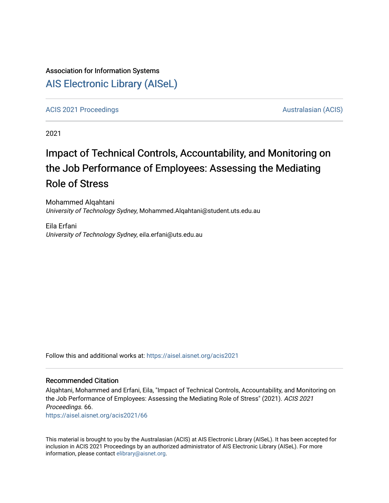# Association for Information Systems [AIS Electronic Library \(AISeL\)](https://aisel.aisnet.org/)

[ACIS 2021 Proceedings](https://aisel.aisnet.org/acis2021) [Australasian \(ACIS\)](https://aisel.aisnet.org/acis) Australasian (ACIS)

2021

# Impact of Technical Controls, Accountability, and Monitoring on the Job Performance of Employees: Assessing the Mediating Role of Stress

Mohammed Alqahtani University of Technology Sydney, Mohammed.Alqahtani@student.uts.edu.au

Eila Erfani University of Technology Sydney, eila.erfani@uts.edu.au

Follow this and additional works at: [https://aisel.aisnet.org/acis2021](https://aisel.aisnet.org/acis2021?utm_source=aisel.aisnet.org%2Facis2021%2F66&utm_medium=PDF&utm_campaign=PDFCoverPages) 

#### Recommended Citation

Alqahtani, Mohammed and Erfani, Eila, "Impact of Technical Controls, Accountability, and Monitoring on the Job Performance of Employees: Assessing the Mediating Role of Stress" (2021). ACIS 2021 Proceedings. 66.

[https://aisel.aisnet.org/acis2021/66](https://aisel.aisnet.org/acis2021/66?utm_source=aisel.aisnet.org%2Facis2021%2F66&utm_medium=PDF&utm_campaign=PDFCoverPages)

This material is brought to you by the Australasian (ACIS) at AIS Electronic Library (AISeL). It has been accepted for inclusion in ACIS 2021 Proceedings by an authorized administrator of AIS Electronic Library (AISeL). For more information, please contact [elibrary@aisnet.org.](mailto:elibrary@aisnet.org%3E)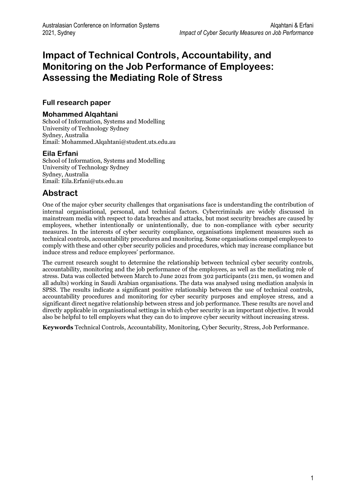# **Impact of Technical Controls, Accountability, and Monitoring on the Job Performance of Employees: Assessing the Mediating Role of Stress**

### **Full research paper**

#### **Mohammed Alqahtani**

School of Information, Systems and Modelling University of Technology Sydney Sydney, Australia Email: Mohammed.Alqahtani@student.uts.edu.au

### **Eila Erfani**

School of Information, Systems and Modelling University of Technology Sydney Sydney, Australia Email: Eila.Erfani@uts.edu.au

# **Abstract**

One of the major cyber security challenges that organisations face is understanding the contribution of internal organisational, personal, and technical factors. Cybercriminals are widely discussed in mainstream media with respect to data breaches and attacks, but most security breaches are caused by employees, whether intentionally or unintentionally, due to non-compliance with cyber security measures. In the interests of cyber security compliance, organisations implement measures such as technical controls, accountability procedures and monitoring. Some organisations compel employees to comply with these and other cyber security policies and procedures, which may increase compliance but induce stress and reduce employees' performance.

The current research sought to determine the relationship between technical cyber security controls, accountability, monitoring and the job performance of the employees, as well as the mediating role of stress. Data was collected between March to June 2021 from 302 participants (211 men, 91 women and all adults) working in Saudi Arabian organisations. The data was analysed using mediation analysis in SPSS. The results indicate a significant positive relationship between the use of technical controls, accountability procedures and monitoring for cyber security purposes and employee stress, and a significant direct negative relationship between stress and job performance. These results are novel and directly applicable in organisational settings in which cyber security is an important objective. It would also be helpful to tell employers what they can do to improve cyber security without increasing stress.

**Keywords** Technical Controls, Accountability, Monitoring, Cyber Security, Stress, Job Performance.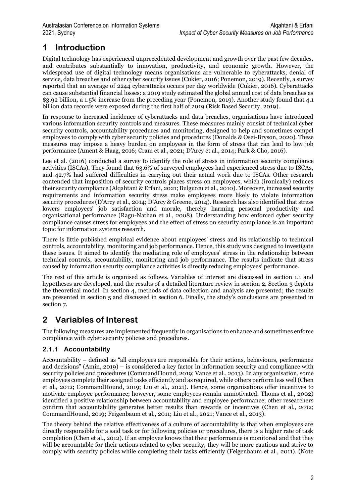# **1 Introduction**

Digital technology has experienced unprecedented development and growth over the past few decades, and contributes substantially to innovation, productivity, and economic growth. However, the widespread use of digital technology means organisations are vulnerable to cyberattacks, denial of service, data breaches and other cyber security issues (Cukier, 2016; Ponemon, 2019). Recently, a survey reported that an average of 2244 cyberattacks occurs per day worldwide (Cukier, 2016). Cyberattacks can cause substantial financial losses: a 2019 study estimated the global annual cost of data breaches as \$3.92 billion, a 1.5% increase from the preceding year (Ponemon, 2019). Another study found that 4.1 billion data records were exposed during the first half of 2019 (Risk Based Security, 2019).

In response to increased incidence of cyberattacks and data breaches, organisations have introduced various information security controls and measures. These measures mainly consist of technical cyber security controls, accountability procedures and monitoring, designed to help and sometimes compel employees to comply with cyber security policies and procedures (Donalds & Osei-Bryson, 2020). These measures may impose a heavy burden on employees in the form of stress that can lead to low job performance (Ament & Haag, 2016; Cram et al., 2021; D'Arcy et al., 2014; Park & Cho, 2016).

Lee et al. (2016) conducted a survey to identify the role of stress in information security compliance activities (ISCAs). They found that 63.6% of surveyed employees had experienced stress due to ISCAs, and 42.7% had suffered difficulties in carrying out their actual work due to ISCAs. Other research contended that imposition of security controls places stress on employees, which (ironically) reduces their security compliance (Alqahtani & Erfani, 2021; Bulgurcu et al., 2010). Moreover, increased security requirements and information security stress make employees more likely to violate information security procedures (D'Arcy et al., 2014; D'Arcy & Greene, 2014). Research has also identified that stress lowers employees' job satisfaction and morale, thereby harming personal productivity and organisational performance (Ragu-Nathan et al., 2008). Understanding how enforced cyber security compliance causes stress for employees and the effect of stress on security compliance is an important topic for information systems research.

There is little published empirical evidence about employees' stress and its relationship to technical controls, accountability, monitoring and job performance. Hence, this study was designed to investigate these issues. It aimed to identify the mediating role of employees' stress in the relationship between technical controls, accountability, monitoring and job performance. The results indicate that stress caused by information security compliance activities is directly reducing employees' performance.

The rest of this article is organised as follows. Variables of interest are discussed in section 1.1 and hypotheses are developed, and the results of a detailed literature review in section 2. Section 3 depicts the theoretical model. In section 4, methods of data collection and analysis are presented; the results are presented in section 5 and discussed in section 6. Finally, the study's conclusions are presented in section 7.

# **2 Variables of Interest**

The following measures are implemented frequently in organisations to enhance and sometimes enforce compliance with cyber security policies and procedures.

## **2.1.1 Accountability**

Accountability – defined as "all employees are responsible for their actions, behaviours, performance and decisions" (Amin, 2019) – is considered a key factor in information security and compliance with security policies and procedures (CommandHound, 2019; Vance et al., 2013). In any organisation, some employees complete their assigned tasks efficiently and as required, while others perform less well (Chen et al., 2012; CommandHound, 2019; Liu et al., 2021). Hence, some organisations offer incentives to motivate employee performance; however, some employees remain unmotivated. Thoms et al., 2002) identified a positive relationship between accountability and employee performance; other researchers confirm that accountability generates better results than rewards or incentives (Chen et al., 2012; CommandHound, 2019; Feigenbaum et al., 2011; Liu et al., 2021; Vance et al., 2013).

The theory behind the relative effectiveness of a culture of accountability is that when employees are directly responsible for a said task or for following policies or procedures, there is a higher rate of task completion (Chen et al., 2012). If an employee knows that their performance is monitored and that they will be accountable for their actions related to cyber security, they will be more cautious and strive to comply with security policies while completing their tasks efficiently (Feigenbaum et al., 2011). (Note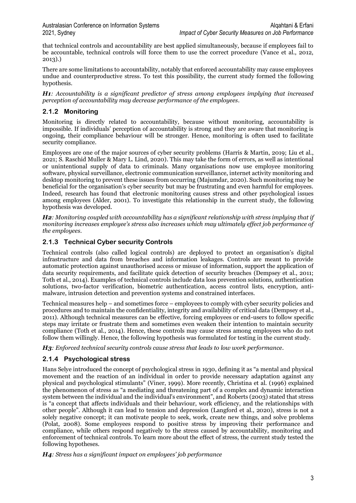that technical controls and accountability are best applied simultaneously, because if employees fail to be accountable, technical controls will force them to use the correct procedure (Vance et al., 2012, 2013).)

There are some limitations to accountability, notably that enforced accountability may cause employees undue and counterproductive stress. To test this possibility, the current study formed the following hypothesis.

*H1: Accountability is a significant predictor of stress among employees implying that increased perception of accountability may decrease performance of the employees*.

#### **2.1.2 Monitoring**

Monitoring is directly related to accountability, because without monitoring, accountability is impossible. If individuals' perception of accountability is strong and they are aware that monitoring is ongoing, their compliance behaviour will be stronger. Hence, monitoring is often used to facilitate security compliance.

Employees are one of the major sources of cyber security problems (Harris & Martin, 2019; Liu et al., 2021; S. Raschid Muller & Mary L. Lind, 2020). This may take the form of errors, as well as intentional or unintentional supply of data to criminals. Many organisations now use employee monitoring software, physical surveillance, electronic communication surveillance, internet activity monitoring and desktop monitoring to prevent these issues from occurring (Majumdar, 2020). Such monitoring may be beneficial for the organisation's cyber security but may be frustrating and even harmful for employees. Indeed, research has found that electronic monitoring causes stress and other psychological issues among employees (Alder, 2001). To investigate this relationship in the current study, the following hypothesis was developed.

*H2: Monitoring coupled with accountability has a significant relationship with stress implying that if monitoring increases employee's stress also increases which may ultimately effect job performance of the employees.*

#### **2.1.3 Technical Cyber security Controls**

Technical controls (also called logical controls) are deployed to protect an organisation's digital infrastructure and data from breaches and information leakages. Controls are meant to provide automatic protection against unauthorised access or misuse of information, support the application of data security requirements, and facilitate quick detection of security breaches (Dempsey et al., 2011; Toth et al., 2014). Examples of technical controls include data loss prevention solutions, authentication solutions, two-factor verification, biometric authentication, access control lists, encryption, antimalware, intrusion detection and prevention systems and constrained interfaces.

Technical measures help – and sometimes force – employees to comply with cyber security policies and procedures and to maintain the confidentiality, integrity and availability of critical data (Dempsey et al., 2011). Although technical measures can be effective, forcing employees or end-users to follow specific steps may irritate or frustrate them and sometimes even weaken their intention to maintain security compliance (Toth et al., 2014). Hence, these controls may cause stress among employees who do not follow them willingly. Hence, the following hypothesis was formulated for testing in the current study.

*H3: Enforced technical security controls cause stress that leads to low work performance.*

### **2.1.4 Psychological stress**

Hans Selye introduced the concept of psychological stress in 1930, defining it as "a mental and physical movement and the reaction of an individual in order to provide necessary adaptation against any physical and psychological stimulants" (Viner, 1999). More recently, Christina et al. (1996) explained the phenomenon of stress as "a mediating and threatening part of a complex and dynamic interaction system between the individual and the individual's environment", and Roberts (2003) stated that stress is "a concept that affects individuals and their behaviour, work efficiency, and the relationships with other people". Although it can lead to tension and depression (Langford et al., 2020), stress is not a solely negative concept; it can motivate people to seek, work, create new things, and solve problems (Polat, 2008). Some employees respond to positive stress by improving their performance and compliance, while others respond negatively to the stress caused by accountability, monitoring and enforcement of technical controls. To learn more about the effect of stress, the current study tested the following hypotheses.

*H4: Stress has a significant impact on employees' job performance*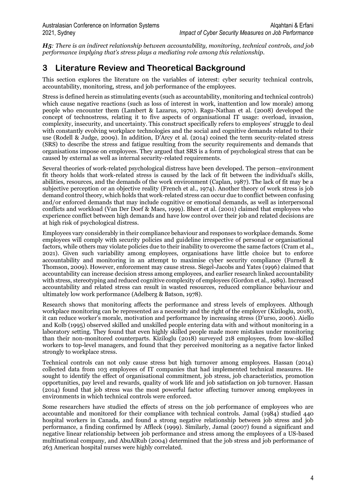*H5: There is an indirect relationship between accountability, monitoring, technical controls, and job performance implying that's stress plays a mediating role among this relationship.*

# **3 Literature Review and Theoretical Background**

This section explores the literature on the variables of interest: cyber security technical controls, accountability, monitoring, stress, and job performance of the employees.

Stress is defined herein as stimulating events (such as accountability, monitoring and technical controls) which cause negative reactions (such as loss of interest in work, inattention and low morale) among people who encounter them (Lambert & Lazarus, 1970). Ragu-Nathan et al. (2008) developed the concept of technostress, relating it to five aspects of organisational IT usage: overload, invasion, complexity, insecurity, and uncertainty. This construct specifically refers to employees' struggle to deal with constantly evolving workplace technologies and the social and cognitive demands related to their use (Rodell & Judge, 2009). In addition, D'Arcy et al. (2014) coined the term security-related stress (SRS) to describe the stress and fatigue resulting from the security requirements and demands that organisations impose on employees. They argued that SRS is a form of psychological stress that can be caused by external as well as internal security-related requirements.

Several theories of work-related psychological distress have been developed. The person–environment fit theory holds that work-related stress is caused by the lack of fit between the individual's skills, abilities, resources, and the demands of the work environment (Caplan, 1987). The lack of fit may be a subjective perception or an objective reality (French et al., 1974). Another theory of work stress is job demand control theory, which holds that work-related stress can occur due to conflict between confusing and/or enforced demands that may include cognitive or emotional demands, as well as interpersonal conflicts and workload (Van Der Doef & Maes, 1999). Bheer et al. (2001) claimed that employees who experience conflict between high demands and have low control over their job and related decisions are at high risk of psychological distress.

Employees vary considerably in their compliance behaviour and responses to workplace demands. Some employees will comply with security policies and guideline irrespective of personal or organisational factors, while others may violate policies due to their inability to overcome the same factors (Cram et al., 2021). Given such variability among employees, organisations have little choice but to enforce accountability and monitoring in an attempt to maximise cyber security compliance (Furnell & Thomson, 2009). However, enforcement may cause stress. Siegel-Jacobs and Yates (1996) claimed that accountability can increase decision stress among employees, and earlier research linked accountability with stress, stereotyping and reduced cognitive complexity of employees (Gordon et al., 1989). Increased accountability and related stress can result in wasted resources, reduced compliance behaviour and ultimately low work performance (Adelberg & Batson, 1978).

Research shows that monitoring affects the performance and stress levels of employees. Although workplace monitoring can be represented as a necessity and the right of the employer (Kiziloglu, 2018), it can reduce worker's morale, motivation and performance by increasing stress (D'urso, 2006). Aiello and Kolb (1995) observed skilled and unskilled people entering data with and without monitoring in a laboratory setting. They found that even highly skilled people made more mistakes under monitoring than their non-monitored counterparts. Kiziloglu (2018) surveyed 218 employees, from low-skilled workers to top-level managers, and found that they perceived monitoring as a negative factor linked strongly to workplace stress.

Technical controls can not only cause stress but high turnover among employees. Hassan (2014) collected data from 103 employees of IT companies that had implemented technical measures. He sought to identify the effect of organisational commitment, job stress, job characteristics, promotion opportunities, pay level and rewards, quality of work life and job satisfaction on job turnover. Hassan (2014) found that job stress was the most powerful factor affecting turnover among employees in environments in which technical controls were enforced.

Some researchers have studied the effects of stress on the job performance of employees who are accountable and monitored for their compliance with technical controls. Jamal (1984) studied 440 hospital workers in Canada, and found a strong negative relationship between job stress and job performance, a finding confirmed by Affleck (1999). Similarly, Jamal (2007) found a significant and negative linear relationship between job performance and stress among the employees of a US-based multinational company, and AbuAlRub (2004) determined that the job stress and job performance of 263 American hospital nurses were highly correlated.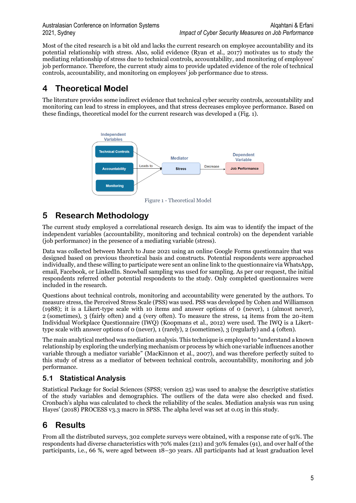Most of the cited research is a bit old and lacks the current research on employee accountability and its potential relationship with stress. Also, solid evidence (Ryan et al., 2017) motivates us to study the mediating relationship of stress due to technical controls, accountability, and monitoring of employees' job performance. Therefore, the current study aims to provide updated evidence of the role of technical controls, accountability, and monitoring on employees' job performance due to stress.

# **4 Theoretical Model**

The literature provides some indirect evidence that technical cyber security controls, accountability and monitoring can lead to stress in employees, and that stress decreases employee performance. Based on these findings, theoretical model for the current research was developed a (Fig. 1).



Figure 1 - Theoretical Model

# **5 Research Methodology**

The current study employed a correlational research design. Its aim was to identify the impact of the independent variables (accountability, monitoring and technical controls) on the dependent variable (job performance) in the presence of a mediating variable (stress).

Data was collected between March to June 2021 using an online Google Forms questionnaire that was designed based on previous theoretical basis and constructs. Potential respondents were approached individually, and these willing to participate were sent an online link to the questionnaire via WhatsApp, email, Facebook, or LinkedIn. Snowball sampling was used for sampling. As per our request, the initial respondents referred other potential respondents to the study. Only completed questionnaires were included in the research.

Questions about technical controls, monitoring and accountability were generated by the authors. To measure stress, the Perceived Stress Scale (PSS) was used. PSS was developed by Cohen and Williamson (1988); it is a Likert-type scale with 10 items and answer options of 0 (never), 1 (almost never), 2 (sometimes), 3 (fairly often) and 4 (very often). To measure the stress, 14 items from the 20-item Individual Workplace Questionnaire (IWQ) (Koopmans et al., 2012) were used. The IWQ is a Likerttype scale with answer options of 0 (never), 1 (rarely), 2 (sometimes), 3 (regularly) and 4 (often).

The main analytical method was mediation analysis. This technique is employed to "understand a known relationship by exploring the underlying mechanism or process by which one variable influences another variable through a mediator variable" (MacKinnon et al., 2007), and was therefore perfectly suited to this study of stress as a mediator of between technical controls, accountability, monitoring and job performance.

## **5.1 Statistical Analysis**

Statistical Package for Social Sciences (SPSS; version 25) was used to analyse the descriptive statistics of the study variables and demographics. The outliers of the data were also checked and fixed. Cronbach's alpha was calculated to check the reliability of the scales. Mediation analysis was run using Hayes' (2018) PROCESS v3.3 macro in SPSS. The alpha level was set at 0.05 in this study.

# **6 Results**

From all the distributed surveys, 302 complete surveys were obtained, with a response rate of 91%. The respondents had diverse characteristics with 70% males (211) and 30% females (91), and over half of the participants, i.e., 66 %, were aged between 18–30 years. All participants had at least graduation level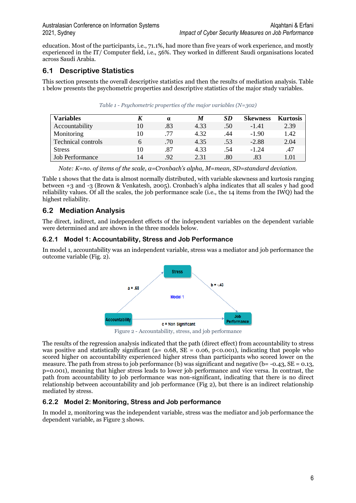education. Most of the participants, i.e., 71.1%, had more than five years of work experience, and mostly experienced in the IT/ Computer field, i.e., 56%. They worked in different Saudi organisations located across Saudi Arabia.

### **6.1 Descriptive Statistics**

This section presents the overall descriptive statistics and then the results of mediation analysis. Table 1 below presents the psychometric properties and descriptive statistics of the major study variables.

| <b>Variables</b>          | K  | $\alpha$ | M    | <b>SD</b> | <b>Skewness</b> | <b>Kurtosis</b> |
|---------------------------|----|----------|------|-----------|-----------------|-----------------|
| Accountability            | 10 | .83      | 4.33 | .50       | $-1.41$         | 2.39            |
| Monitoring                | 10 | .77      | 4.32 | .44       | $-1.90$         | 1.42            |
| <b>Technical controls</b> | 6  | .70      | 4.35 | .53       | $-2.88$         | 2.04            |
| <b>Stress</b>             | 10 | .87      | 4.33 | .54       | $-1, 24$        | .47             |
| <b>Job Performance</b>    | 14 | .92      | 2.31 | .80       | .83             | 1.01            |

*Table 1 - Psychometric properties of the major variables (N=302)*

*Note: K=no. of items of the scale, α=Cronbach's alpha, M=mean, SD=standard deviation.*

Table 1 shows that the data is almost normally distributed, with variable skewness and kurtosis ranging between +3 and -3 (Brown & Venkatesh, 2005). Cronbach's alpha indicates that all scales y had good reliability values. Of all the scales, the job performance scale (i.e., the 14 items from the IWQ) had the highest reliability.

## **6.2 Mediation Analysis**

The direct, indirect, and independent effects of the independent variables on the dependent variable were determined and are shown in the three models below.

#### **6.2.1 Model 1: Accountability, Stress and Job Performance**

In model 1, accountability was an independent variable, stress was a mediator and job performance the outcome variable (Fig. 2).



Figure 2 - Accountability, stress, and job performance

The results of the regression analysis indicated that the path (direct effect) from accountability to stress was positive and statistically significant (a=  $0.68$ ,  $SE = 0.06$ , p<0.001), indicating that people who scored higher on accountability experienced higher stress than participants who scored lower on the measure. The path from stress to job performance (b) was significant and negative (b= -0.43, SE = 0.13, p=0.001), meaning that higher stress leads to lower job performance and vice versa. In contrast, the path from accountability to job performance was non-significant, indicating that there is no direct relationship between accountability and job performance (Fig 2), but there is an indirect relationship mediated by stress.

### **6.2.2 Model 2: Monitoring, Stress and Job performance**

In model 2, monitoring was the independent variable, stress was the mediator and job performance the dependent variable, as Figure 3 shows.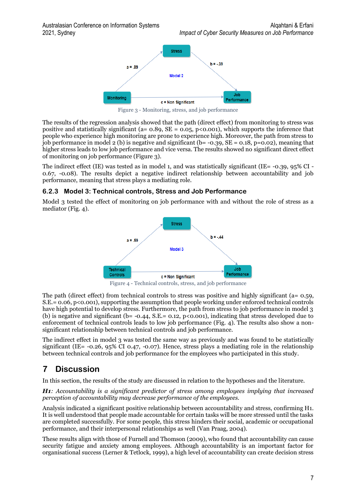

Figure 3 - Monitoring, stress, and job performance

The results of the regression analysis showed that the path (direct effect) from monitoring to stress was positive and statistically significant (a=  $0.89$ , SE =  $0.05$ , p<0.001), which supports the inference that people who experience high monitoring are prone to experience high. Moreover, the path from stress to job performance in model 2 (b) is negative and significant ( $b = -0.39$ ,  $SE = 0.18$ ,  $p = 0.02$ ), meaning that higher stress leads to low job performance and vice versa. The results showed no significant direct effect of monitoring on job performance (Figure 3).

The indirect effect (IE) was tested as in model 1, and was statistically significant (IE= -0.39, 95% CI - 0.67, -0.08). The results depict a negative indirect relationship between accountability and job performance, meaning that stress plays a mediating role.

#### **6.2.3 Model 3: Technical controls, Stress and Job Performance**

Model 3 tested the effect of monitoring on job performance with and without the role of stress as a mediator (Fig. 4).



Figure 4 - Technical controls, stress, and job performance

The path (direct effect) from technical controls to stress was positive and highly significant (a= 0.59,  $S.E. = 0.06, p < 0.001$ , supporting the assumption that people working under enforced technical controls have high potential to develop stress. Furthermore, the path from stress to job performance in model 3 (b) is negative and significant ( $b = -0.44$ , S.E. = 0.12, p<0.001), indicating that stress developed due to enforcement of technical controls leads to low job performance (Fig. 4). The results also show a nonsignificant relationship between technical controls and job performance.

The indirect effect in model 3 was tested the same way as previously and was found to be statistically significant (IE= -0.26, 95% CI 0.47, -0.07). Hence, stress plays a mediating role in the relationship between technical controls and job performance for the employees who participated in this study.

# **7 Discussion**

In this section, the results of the study are discussed in relation to the hypotheses and the literature.

*H1: Accountability is a significant predictor of stress among employees implying that increased perception of accountability may decrease performance of the employees.* 

Analysis indicated a significant positive relationship between accountability and stress, confirming H1. It is well understood that people made accountable for certain tasks will be more stressed until the tasks are completed successfully. For some people, this stress hinders their social, academic or occupational performance, and their interpersonal relationships as well (Van Praag, 2004).

These results align with those of Furnell and Thomson (2009), who found that accountability can cause security fatigue and anxiety among employees. Although accountability is an important factor for organisational success (Lerner & Tetlock, 1999), a high level of accountability can create decision stress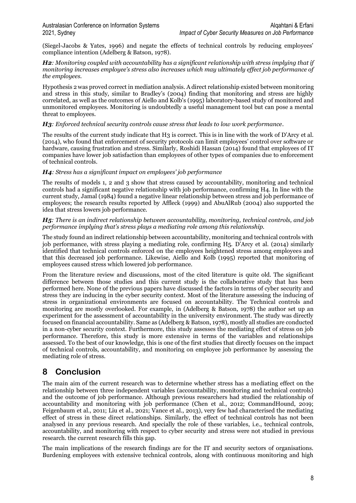(Siegel-Jacobs & Yates, 1996) and negate the effects of technical controls by reducing employees' compliance intention (Adelberg & Batson, 1978).

*H2: Monitoring coupled with accountability has a significant relationship with stress implying that if monitoring increases employee's stress also increases which may ultimately effect job performance of the employees.* 

Hypothesis 2 was proved correct in mediation analysis. A direct relationship existed between monitoring and stress in this study, similar to Bradley's (2004) finding that monitoring and stress are highly correlated, as well as the outcomes of Aiello and Kolb's (1995) laboratory-based study of monitored and unmonitored employees. Monitoring is undoubtedly a useful management tool but can pose a mental threat to employees.

#### *H3: Enforced technical security controls cause stress that leads to low work performance.*

The results of the current study indicate that H3 is correct. This is in line with the work of D'Arcy et al. (2014), who found that enforcement of security protocols can limit employees' control over software or hardware, causing frustration and stress. Similarly, Roshidi Hassan (2014) found that employees of IT companies have lower job satisfaction than employees of other types of companies due to enforcement of technical controls.

#### *H4: Stress has a significant impact on employees' job performance*

The results of models 1, 2 and 3 show that stress caused by accountability, monitoring and technical controls had a significant negative relationship with job performance, confirming H4. In line with the current study, Jamal (1984) found a negative linear relationship between stress and job performance of employees; the research results reported by Affleck (1999) and AbuAlRub (2004) also supported the idea that stress lowers job performance.

#### *H5: There is an indirect relationship between accountability, monitoring, technical controls, and job performance implying that's stress plays a mediating role among this relationship.*

The study found an indirect relationship between accountability, monitoring and technical controls with job performance, with stress playing a mediating role, confirming H5. D'Arcy et al. (2014) similarly identified that technical controls enforced on the employees heightened stress among employees and that this decreased job performance. Likewise, Aiello and Kolb (1995) reported that monitoring of employees caused stress which lowered job performance.

From the literature review and discussions, most of the cited literature is quite old. The significant difference between those studies and this current study is the collaborative study that has been performed here. None of the previous papers have discussed the factors in terms of cyber security and stress they are inducing in the cyber security context. Most of the literature assessing the inducing of stress in organizational environments are focused on accountability. The Technical controls and monitoring are mostly overlooked. For example, in (Adelberg & Batson, 1978) the author set up an experiment for the assessment of accountability in the university environment. The study was directly focused on financial accountability. Same as (Adelberg & Batson, 1978), mostly all studies are conducted in a non-cyber security context. Furthermore, this study assesses the mediating effect of stress on job performance. Therefore, this study is more extensive in terms of the variables and relationships assessed. To the best of our knowledge, this is one of the first studies that directly focuses on the impact of technical controls, accountability, and monitoring on employee job performance by assessing the mediating role of stress.

# **8 Conclusion**

The main aim of the current research was to determine whether stress has a mediating effect on the relationship between three independent variables (accountability, monitoring and technical controls) and the outcome of job performance. Although previous researchers had studied the relationship of accountability and monitoring with job performance (Chen et al., 2012; CommandHound, 2019; Feigenbaum et al., 2011; Liu et al., 2021; Vance et al., 2013), very few had characterised the mediating effect of stress in these direct relationships. Similarly, the effect of technical controls has not been analysed in any previous research. And specially the role of these variables, i.e., technical controls, accountability, and monitoring with respect to cyber security and stress were not studied in previous research. the current research fills this gap.

The main implications of the research findings are for the IT and security sectors of organisations. Burdening employees with extensive technical controls, along with continuous monitoring and high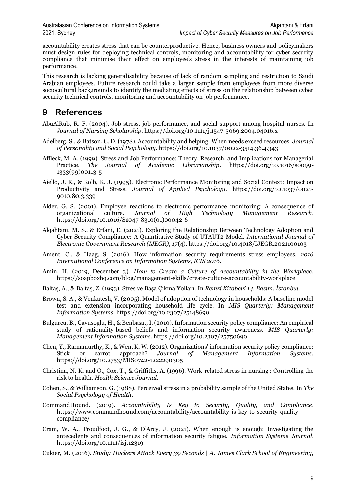accountability creates stress that can be counterproductive. Hence, business owners and policymakers must design rules for deploying technical controls, monitoring and accountability for cyber security compliance that minimise their effect on employee's stress in the interests of maintaining job performance.

This research is lacking generalisability because of lack of random sampling and restriction to Saudi Arabian employees. Future research could take a larger sample from employees from more diverse sociocultural backgrounds to identify the mediating effects of stress on the relationship between cyber security technical controls, monitoring and accountability on job performance.

# **9 References**

- AbuAlRub, R. F. (2004). Job stress, job performance, and social support among hospital nurses. In *Journal of Nursing Scholarship*. https://doi.org/10.1111/j.1547-5069.2004.04016.x
- Adelberg, S., & Batson, C. D. (1978). Accountability and helping: When needs exceed resources. *Journal of Personality and Social Psychology*. https://doi.org/10.1037/0022-3514.36.4.343
- Affleck, M. A. (1999). Stress and Job Performance: Theory, Research, and Implications for Managerial Practice. *The Journal of Academic Librarianship*. https://doi.org/10.1016/s0099- 1333(99)00113-5
- Aiello, J. R., & Kolb, K. J. (1995). Electronic Performance Monitoring and Social Context: Impact on Productivity and Stress. *Journal of Applied Psychology*. https://doi.org/10.1037/0021- 9010.80.3.339
- Alder, G. S. (2001). Employee reactions to electronic performance monitoring: A consequence of organizational culture. *Journal of High Technology Management Research*. https://doi.org/10.1016/S1047-8310(01)00042-6
- Alqahtani, M. S., & Erfani, E. (2021). Exploring the Relationship Between Technology Adoption and Cyber Security Compliance: A Quantitative Study of UTAUT2 Model. *International Journal of Electronic Government Research (IJEGR)*, *17*(4). https://doi.org/10.4018/IJEGR.2021100103
- Ament, C., & Haag, S. (2016). How information security requirements stress employees. *2016 International Conference on Information Systems, ICIS 2016*.
- Amin, H. (2019, December 3). *How to Create a Culture of Accountability in the Workplace*. https://soapboxhq.com/blog/management-skills/create-culture-accountability-workplace
- Baltaş, A., & Baltaş, Z. (1993). Stres ve Başa Çıkma Yolları. In *Remzi Kitabevi 14. Basım. İstanbul*.
- Brown, S. A., & Venkatesh, V. (2005). Model of adoption of technology in households: A baseline model test and extension incorporating household life cycle. In *MIS Quarterly: Management Information Systems*. https://doi.org/10.2307/25148690
- Bulgurcu, B., Cavusoglu, H., & Benbasat, I. (2010). Information security policy compliance: An empirical study of rationality-based beliefs and information security awareness. *MIS Quarterly: Management Information Systems*. https://doi.org/10.2307/25750690
- Chen, Y., Ramamurthy, K., & Wen, K. W. (2012). Organizations' information security policy compliance: Stick or carrot approach? *Journal of Management Information Systems*. https://doi.org/10.2753/MIS0742-1222290305
- Christina, N. K. and O., Cox, T., & Griffiths, A. (1996). Work-related stress in nursing : Controlling the risk to health. *Health Science Journal*.
- Cohen, S., & Williamson, G. (1988). Perceived stress in a probability sample of the United States. In *The Social Psychology of Health*.
- CommandHound. (2019). *Accountability Is Key to Security, Quality, and Compliance*. https://www.commandhound.com/accountability/accountability-is-key-to-security-qualitycompliance/
- Cram, W. A., Proudfoot, J. G., & D'Arcy, J. (2021). When enough is enough: Investigating the antecedents and consequences of information security fatigue. *Information Systems Journal*. https://doi.org/10.1111/isj.12319
- Cukier, M. (2016). *Study: Hackers Attack Every 39 Seconds | A. James Clark School of Engineering,*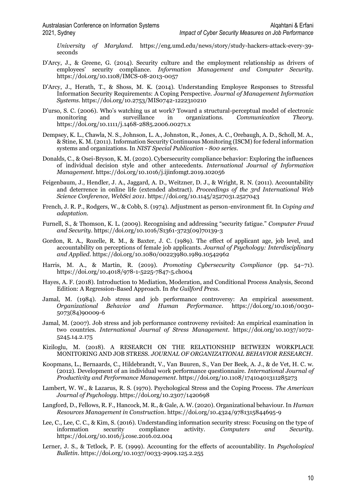*University of Maryland*. https://eng.umd.edu/news/story/study-hackers-attack-every-39 seconds

- D'Arcy, J., & Greene, G. (2014). Security culture and the employment relationship as drivers of employees' security compliance. *Information Management and Computer Security*. https://doi.org/10.1108/IMCS-08-2013-0057
- D'Arcy, J., Herath, T., & Shoss, M. K. (2014). Understanding Employee Responses to Stressful Information Security Requirements: A Coping Perspective. *Journal of Management Information Systems*. https://doi.org/10.2753/MIS0742-1222310210
- D'urso, S. C. (2006). Who's watching us at work? Toward a structural-perceptual model of electronic monitoring and surveillance in organizations. *Communication Theory*. https://doi.org/10.1111/j.1468-2885.2006.00271.x
- Dempsey, K. L., Chawla, N. S., Johnson, L. A., Johnston, R., Jones, A. C., Orebaugh, A. D., Scholl, M. A., & Stine, K. M. (2011). Information Security Continuous Monitoring (ISCM) for federal information systems and organizations. In *NIST Special Publication - 800 series*.
- Donalds, C., & Osei-Bryson, K. M. (2020). Cybersecurity compliance behavior: Exploring the influences of individual decision style and other antecedents. *International Journal of Information Management*. https://doi.org/10.1016/j.ijinfomgt.2019.102056
- Feigenbaum, J., Hendler, J. A., Jaggard, A. D., Weitzner, D. J., & Wright, R. N. (2011). Accountability and deterrence in online life (extended abstract). *Proceedings of the 3rd International Web Science Conference, WebSci 2011*. https://doi.org/10.1145/2527031.2527043
- French, J. R. P., Rodgers, W., & Cobb, S. (1974). Adjustment as person-environment fit. In *Coping and adaptation*.
- Furnell, S., & Thomson, K. L. (2009). Recognising and addressing "security fatigue." *Computer Fraud and Security*. https://doi.org/10.1016/S1361-3723(09)70139-3
- Gordon, R. A., Rozelle, R. M., & Baxter, J. C. (1989). The effect of applicant age, job level, and accountability on perceptions of female job applicants. *Journal of Psychology: Interdisciplinary and Applied*. https://doi.org/10.1080/00223980.1989.10542962
- Harris, M. A., & Martin, R. (2019). *Promoting Cybersecurity Compliance* (pp. 54–71). https://doi.org/10.4018/978-1-5225-7847-5.ch004
- Hayes, A. F. (2018). Introduction to Mediation, Moderation, and Conditional Process Analysis, Second Edition: A Regression-Based Approach. In *the Guilford Press*.
- Jamal, M. (1984). Job stress and job performance controversy: An empirical assessment. *Organizational Behavior and Human Performance*. https://doi.org/10.1016/0030- 5073(84)90009-6
- Jamal, M. (2007). Job stress and job performance controversy revisited: An empirical examination in two countries. *International Journal of Stress Management*. https://doi.org/10.1037/1072- 5245.14.2.175
- Kiziloglu, M. (2018). A RESEARCH ON THE RELATIONSHIP BETWEEN WORKPLACE MONITORING AND JOB STRESS. *JOURNAL OF ORGANIZATIONAL BEHAVIOR RESEARCH*.
- Koopmans, L., Bernaards, C., Hildebrandt, V., Van Buuren, S., Van Der Beek, A. J., & de Vet, H. C. w. (2012). Development of an individual work performance questionnaire. *International Journal of Productivity and Performance Management*. https://doi.org/10.1108/17410401311285273
- Lambert, W. W., & Lazarus, R. S. (1970). Psychological Stress and the Coping Process. *The American Journal of Psychology*. https://doi.org/10.2307/1420698
- Langford, D., Fellows, R. F., Hancock, M. R., & Gale, A. W. (2020). Organizational behaviour. In *Human Resources Management in Construction*. https://doi.org/10.4324/9781315844695-9
- Lee, C., Lee, C. C., & Kim, S. (2016). Understanding information security stress: Focusing on the type of information security compliance activity. *Computers and Security*. https://doi.org/10.1016/j.cose.2016.02.004
- Lerner, J. S., & Tetlock, P. E. (1999). Accounting for the effects of accountability. In *Psychological Bulletin*. https://doi.org/10.1037/0033-2909.125.2.255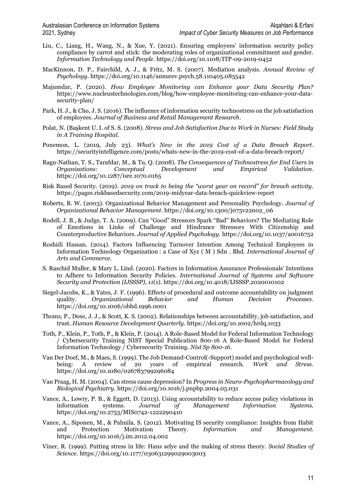- Liu, C., Liang, H., Wang, N., & Xue, Y. (2021). Ensuring employees' information security policy compliance by carrot and stick: the moderating roles of organizational commitment and gender. *Information Technology and People*. https://doi.org/10.1108/ITP-09-2019-0452
- MacKinnon, D. P., Fairchild, A. J., & Fritz, M. S. (2007). Mediation analysis. *Annual Review of Psychology*. https://doi.org/10.1146/annurev.psych.58.110405.085542
- Majumdar, P. (2020). *How Employee Monitoring can Enhance your Data Security Plan?* https://www.nucleustechnologies.com/blog/how-employee-monitoring-can-enhance-your-datasecurity-plan/
- Park, H. J., & Cho, J. S. (2016). The influence of information security technostress on the job satisfaction of employees. *Journal of Business and Retail Management Research*.
- Polat, N. (Başkent U. I. of S. S. (2008). *Stress and Job Satisfaction Due to Work in Nurses: Field Study in A Training Hospital*.
- Ponemon, L. (2019, July 23). *What's New in the 2019 Cost of a Data Breach Report*. https://securityintelligence.com/posts/whats-new-in-the-2019-cost-of-a-data-breach-report/
- Ragu-Nathan, T. S., Tarafdar, M., & Tu, Q. (2008). *The Consequences of Technostress for End Users in Organizations: Conceptual Development and Empirical Validation*. https://doi.org/10.1287/isre.1070.0165
- Risk Based Security. (2019). *2019 on track to being the "worst year on record" for breach activity.* https://pages.riskbasedsecurity.com/2019-midyear-data-breach-quickview-report
- Roberts, B. W. (2003). Organizational Behavior Management and Personality Psychology. *Journal of Organizational Behavior Management*. https://doi.org/10.1300/j075v22n02\_06
- Rodell, J. B., & Judge, T. A. (2009). Can "Good" Stressors Spark "Bad" Behaviors? The Mediating Role of Emotions in Links of Challenge and Hindrance Stressors With Citizenship and Counterproductive Behaviors. *Journal of Applied Psychology*. https://doi.org/10.1037/a0016752
- Roshidi Hassan. (2014). Factors Influencing Turnover Intention Among Technical Employees in Information Technology Organization : a Case of Xyz ( M ) Sdn . Bhd. *International Journal of Arts and Commerce*.
- S. Raschid Muller, & Mary L. Lind. (2020). Factors in Information Assurance Professionals' Intentions to Adhere to Information Security Policies. *International Journal of Systems and Software Security and Protection (IJSSSP)*, *11*(1). https://doi.org/10.4018/IJSSSP.2020010102
- Siegel-Jacobs, K., & Yates, J. F. (1996). Effects of procedural and outcome accountability on judgment quality. *Organizational Behavior and Human Decision Processes*. https://doi.org/10.1006/obhd.1996.0001
- Thoms, P., Dose, J. J., & Scott, K. S. (2002). Relationships between accountability, job satisfaction, and trust. *Human Resource Development Quarterly*. https://doi.org/10.1002/hrdq.1033
- Toth, P., Klein, P., Toth, P., & Klein, P. (2014). A Role-Based Model for Federal Information Technology / Cybersecurity Training NIST Special Publication 800-16 A Role-Based Model for Federal Information Technology / Cybersecurity Training. *Nist Sp 800-16*.
- Van Der Doef, M., & Maes, S. (1999). The Job Demand-Control(-Support) model and psychological wellbeing: A review of 20 years of empirical research. *Work and Stress*. https://doi.org/10.1080/026783799296084
- Van Praag, H. M. (2004). Can stress cause depression? In *Progress in Neuro-Psychopharmacology and Biological Psychiatry*. https://doi.org/10.1016/j.pnpbp.2004.05.031
- Vance, A., Lowry, P. B., & Eggett, D. (2013). Using accountability to reduce access policy violations in information systems. *Journal of Management Information Systems*. https://doi.org/10.2753/MIS0742-1222290410
- Vance, A., Siponen, M., & Pahnila, S. (2012). Motivating IS security compliance: Insights from Habit and Protection Motivation Theory. *Information and Management*. https://doi.org/10.1016/j.im.2012.04.002
- Viner, R. (1999). Putting stress in life: Hans selye and the making of stress theory. *Social Studies of Science*. https://doi.org/10.1177/030631299029003003